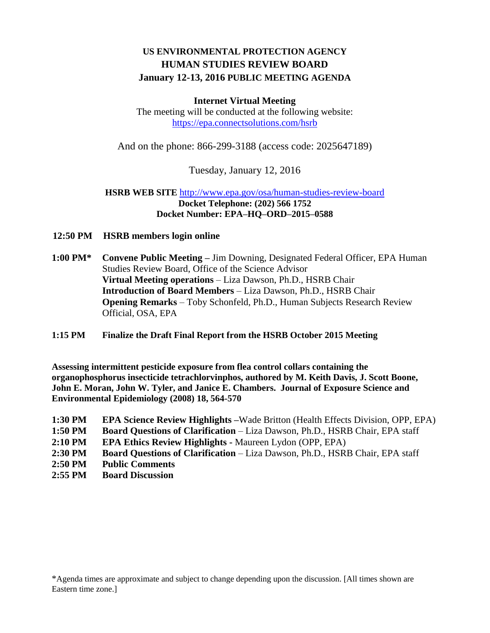# **US ENVIRONMENTAL PROTECTION AGENCY HUMAN STUDIES REVIEW BOARD January 12-13, 2016 PUBLIC MEETING AGENDA**

### **Internet Virtual Meeting**

The meeting will be conducted at the following website: <https://epa.connectsolutions.com/hsrb>

And on the phone: 866-299-3188 (access code: 2025647189)

Tuesday, January 12, 2016

### **HSRB WEB SITE** <http://www.epa.gov/osa/human-studies-review-board> **Docket Telephone: (202) 566 1752 Docket Number: EPA–HQ–ORD–2015–0588**

**12:50 PM HSRB members login online**

**1:00 PM\* Convene Public Meeting –** Jim Downing, Designated Federal Officer, EPA Human Studies Review Board, Office of the Science Advisor **Virtual Meeting operations** – Liza Dawson, Ph.D., HSRB Chair **Introduction of Board Members** – Liza Dawson, Ph.D., HSRB Chair **Opening Remarks** – Toby Schonfeld, Ph.D., Human Subjects Research Review Official, OSA, EPA

## **1:15 PM Finalize the Draft Final Report from the HSRB October 2015 Meeting**

**Assessing intermittent pesticide exposure from flea control collars containing the organophosphorus insecticide tetrachlorvinphos, authored by M. Keith Davis, J. Scott Boone, John E. Moran, John W. Tyler, and Janice E. Chambers. Journal of Exposure Science and Environmental Epidemiology (2008) 18, 564-570**

- **1:30 PM EPA Science Review Highlights –**Wade Britton (Health Effects Division, OPP, EPA)
- **1:50 PM Board Questions of Clarification**  Liza Dawson, Ph.D., HSRB Chair, EPA staff
- **2:10 PM EPA Ethics Review Highlights -** Maureen Lydon (OPP, EPA)
- **2:30 PM Board Questions of Clarification**  Liza Dawson, Ph.D., HSRB Chair, EPA staff
- **2:50 PM Public Comments**
- **2:55 PM Board Discussion**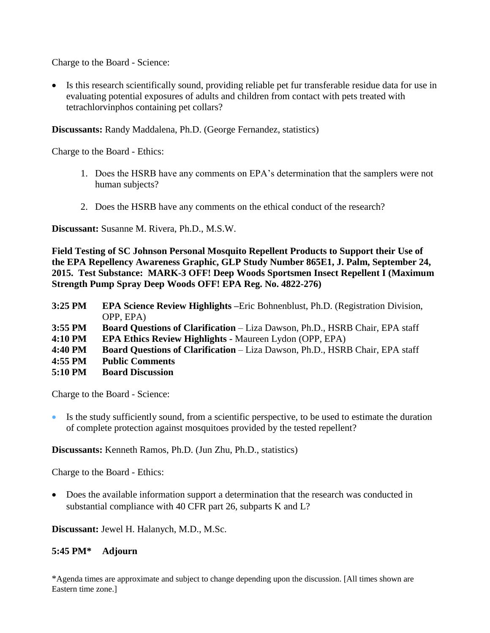Charge to the Board - Science:

 Is this research scientifically sound, providing reliable pet fur transferable residue data for use in evaluating potential exposures of adults and children from contact with pets treated with tetrachlorvinphos containing pet collars?

**Discussants:** Randy Maddalena, Ph.D. (George Fernandez, statistics)

Charge to the Board - Ethics:

- 1. Does the HSRB have any comments on EPA's determination that the samplers were not human subjects?
- 2. Does the HSRB have any comments on the ethical conduct of the research?

**Discussant:** Susanne M. Rivera, Ph.D., M.S.W.

**Field Testing of SC Johnson Personal Mosquito Repellent Products to Support their Use of the EPA Repellency Awareness Graphic, GLP Study Number 865E1, J. Palm, September 24, 2015. Test Substance: MARK-3 OFF! Deep Woods Sportsmen Insect Repellent I (Maximum Strength Pump Spray Deep Woods OFF! EPA Reg. No. 4822-276)**

| 3:25 PM | <b>EPA Science Review Highlights</b> – Eric Bohnenblust, Ph.D. (Registration Division, |
|---------|----------------------------------------------------------------------------------------|
|         | OPP, EPA)                                                                              |
| 3:55 PM | <b>Board Questions of Clarification – Liza Dawson, Ph.D., HSRB Chair, EPA staff</b>    |
| 4:10 PM | <b>EPA Ethics Review Highlights - Maureen Lydon (OPP, EPA)</b>                         |
| 4:40 PM | <b>Board Questions of Clarification – Liza Dawson, Ph.D., HSRB Chair, EPA staff</b>    |
| 4:55 PM | <b>Public Comments</b>                                                                 |
| 5:10 PM | <b>Board Discussion</b>                                                                |

Charge to the Board - Science:

 Is the study sufficiently sound, from a scientific perspective, to be used to estimate the duration of complete protection against mosquitoes provided by the tested repellent?

**Discussants:** Kenneth Ramos, Ph.D. (Jun Zhu, Ph.D., statistics)

Charge to the Board - Ethics:

• Does the available information support a determination that the research was conducted in substantial compliance with 40 CFR part 26, subparts K and L?

**Discussant:** Jewel H. Halanych, M.D., M.Sc.

## **5:45 PM\* Adjourn**

\*Agenda times are approximate and subject to change depending upon the discussion. [All times shown are Eastern time zone.]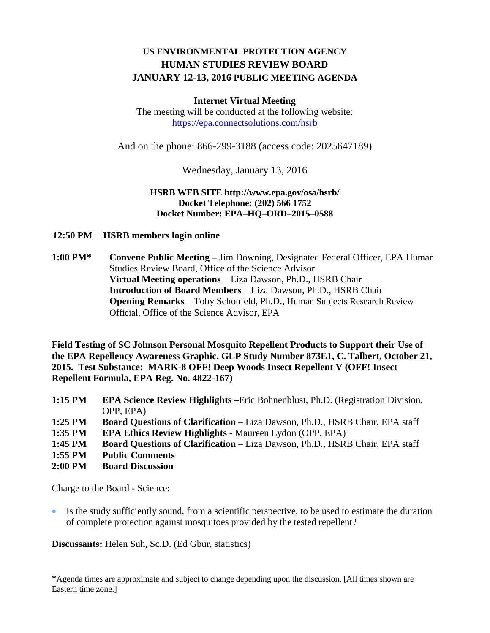# **US ENVIRONMENTAL PROTECTION AGENCY HUMAN STUDIES REVIEW BOARD JANUARY 12-13, 2016 PUBLIC MEETING AGENDA**

## **Internet Virtual Meeting**

The meeting will be conducted at the following website: <https://epa.connectsolutions.com/hsrb>

And on the phone: 866-299-3188 (access code: 2025647189)

Wednesday, January 13, 2016

## **HSRB WEB SITE http://www.epa.gov/osa/hsrb/ Docket Telephone: (202) 566 1752 Docket Number: EPA–HQ–ORD–2015–0588**

**12:50 PM HSRB members login online**

**1:00 PM\* Convene Public Meeting –** Jim Downing, Designated Federal Officer, EPA Human Studies Review Board, Office of the Science Advisor **Virtual Meeting operations** – Liza Dawson, Ph.D., HSRB Chair **Introduction of Board Members** – Liza Dawson, Ph.D., HSRB Chair **Opening Remarks** – Toby Schonfeld, Ph.D., Human Subjects Research Review Official, Office of the Science Advisor, EPA

**Field Testing of SC Johnson Personal Mosquito Repellent Products to Support their Use of the EPA Repellency Awareness Graphic, GLP Study Number 873E1, C. Talbert, October 21, 2015. Test Substance: MARK-8 OFF! Deep Woods Insect Repellent V (OFF! Insect Repellent Formula, EPA Reg. No. 4822-167)**

- **1:15 PM EPA Science Review Highlights –**Eric Bohnenblust, Ph.D. (Registration Division, OPP, EPA)
- **1:25 PM Board Questions of Clarification**  Liza Dawson, Ph.D., HSRB Chair, EPA staff
- **1:35 PM EPA Ethics Review Highlights -** Maureen Lydon (OPP, EPA)
- **1:45 PM Board Questions of Clarification**  Liza Dawson, Ph.D., HSRB Chair, EPA staff
- **1:55 PM Public Comments**
- **2:00 PM Board Discussion**

Charge to the Board - Science:

 Is the study sufficiently sound, from a scientific perspective, to be used to estimate the duration of complete protection against mosquitoes provided by the tested repellent?

**Discussants:** Helen Suh, Sc.D. (Ed Gbur, statistics)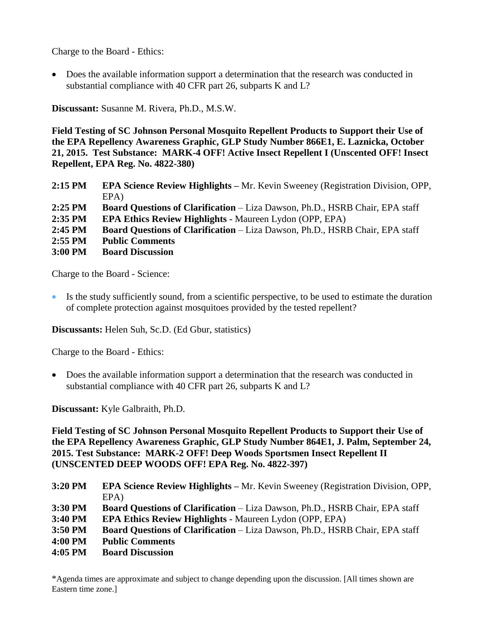Charge to the Board - Ethics:

 Does the available information support a determination that the research was conducted in substantial compliance with 40 CFR part 26, subparts K and L?

**Discussant:** Susanne M. Rivera, Ph.D., M.S.W.

**Field Testing of SC Johnson Personal Mosquito Repellent Products to Support their Use of the EPA Repellency Awareness Graphic, GLP Study Number 866E1, E. Laznicka, October 21, 2015. Test Substance: MARK-4 OFF! Active Insect Repellent I (Unscented OFF! Insect Repellent, EPA Reg. No. 4822-380)**

| $2:15$ PM | <b>EPA Science Review Highlights – Mr. Kevin Sweeney (Registration Division, OPP,</b> |
|-----------|---------------------------------------------------------------------------------------|
|           | $EPA$ )                                                                               |
| $2:25$ PM | <b>Board Questions of Clarification – Liza Dawson, Ph.D., HSRB Chair, EPA staff</b>   |
| $2:35$ PM | <b>EPA Ethics Review Highlights - Maureen Lydon (OPP, EPA)</b>                        |
| $2:45$ PM | <b>Board Questions of Clarification</b> – Liza Dawson, Ph.D., HSRB Chair, EPA staff   |
| $2:55$ PM | <b>Public Comments</b>                                                                |
| $3:00$ PM | <b>Board Discussion</b>                                                               |
|           |                                                                                       |

Charge to the Board - Science:

 Is the study sufficiently sound, from a scientific perspective, to be used to estimate the duration of complete protection against mosquitoes provided by the tested repellent?

**Discussants:** Helen Suh, Sc.D. (Ed Gbur, statistics)

Charge to the Board - Ethics:

 Does the available information support a determination that the research was conducted in substantial compliance with 40 CFR part 26, subparts K and L?

**Discussant:** Kyle Galbraith, Ph.D.

**Field Testing of SC Johnson Personal Mosquito Repellent Products to Support their Use of the EPA Repellency Awareness Graphic, GLP Study Number 864E1, J. Palm, September 24, 2015. Test Substance: MARK-2 OFF! Deep Woods Sportsmen Insect Repellent II (UNSCENTED DEEP WOODS OFF! EPA Reg. No. 4822-397)**

| 3:20 PM | <b>EPA Science Review Highlights</b> – Mr. Kevin Sweeney (Registration Division, OPP, |
|---------|---------------------------------------------------------------------------------------|
|         | EPA)                                                                                  |
| 3:30 PM | <b>Board Questions of Clarification - Liza Dawson, Ph.D., HSRB Chair, EPA staff</b>   |
| 3:40 PM | <b>EPA Ethics Review Highlights - Maureen Lydon (OPP, EPA)</b>                        |
| 3:50 PM | <b>Board Questions of Clarification – Liza Dawson, Ph.D., HSRB Chair, EPA staff</b>   |
| 4:00 PM | <b>Public Comments</b>                                                                |
| 4:05 PM | <b>Board Discussion</b>                                                               |
|         |                                                                                       |

\*Agenda times are approximate and subject to change depending upon the discussion. [All times shown are Eastern time zone.]